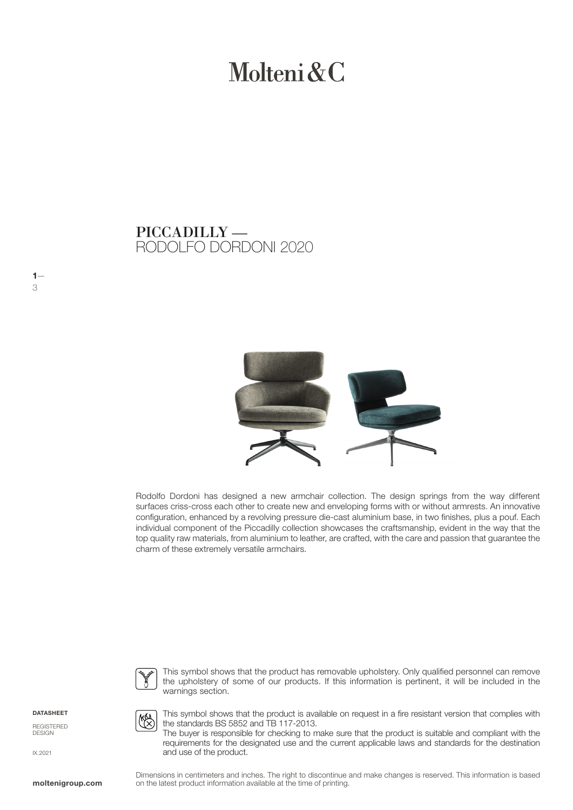# Molteni & C

RODOLFO DORDONI 2020 PICCADILLY —



Rodolfo Dordoni has designed a new armchair collection. The design springs from the way different surfaces criss-cross each other to create new and enveloping forms with or without armrests. An innovative configuration, enhanced by a revolving pressure die-cast aluminium base, in two finishes, plus a pouf. Each individual component of the Piccadilly collection showcases the craftsmanship, evident in the way that the top quality raw materials, from aluminium to leather, are crafted, with the care and passion that guarantee the charm of these extremely versatile armchairs.



E

This symbol shows that the product has removable upholstery. Only qualified personnel can remove the upholstery of some of our products. If this information is pertinent, it will be included in the warnings section.

DATASHEET

REGISTERED DESIGN

IX.2021

This symbol shows that the product is available on request in a fire resistant version that complies with the standards BS 5852 and TB 117-2013.

The buyer is responsible for checking to make sure that the product is suitable and compliant with the requirements for the designated use and the current applicable laws and standards for the destination and use of the product.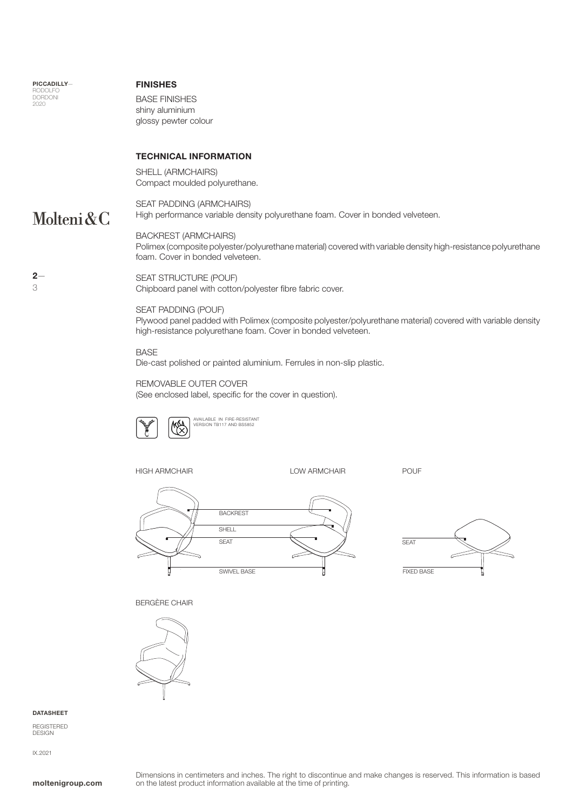PICCADILLY— RODOLFO **DORDONI** 2020

#### FINISHES

BASE FINISHES shiny aluminium glossy pewter colour

#### TECHNICAL INFORMATION

SHELL (ARMCHAIRS) Compact moulded polyurethane.

### Molteni&C

 $2-$ 3

SEAT PADDING (ARMCHAIRS) High performance variable density polyurethane foam. Cover in bonded velveteen.

BACKREST (ARMCHAIRS) Polimex (composite polyester/polyurethane material) covered with variable density high-resistance polyurethane foam. Cover in bonded velveteen.

#### SEAT STRUCTURE (POUF)

Chipboard panel with cotton/polyester fibre fabric cover.

#### SEAT PADDING (POUF)

Plywood panel padded with Polimex (composite polyester/polyurethane material) covered with variable density high-resistance polyurethane foam. Cover in bonded velveteen.

#### BASE

Die-cast polished or painted aluminium. Ferrules in non-slip plastic.

### REMOVABLE OUTER COVER

(See enclosed label, specific for the cover in question).



AVAILABLE IN FIRE-RESISTANT VERSION TB117 AND BS5852

HIGH ARMCHAIR LOW ARMCHAIR POUF





#### BERGÈRE CHAIR



#### DATASHEET

REGISTERED DESIGN

IX.2021